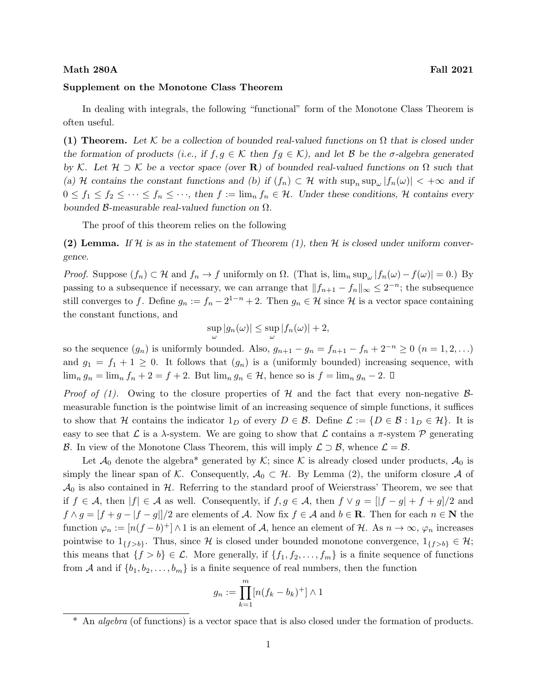## Math 280A Fall 2021

## Supplement on the Monotone Class Theorem

In dealing with integrals, the following "functional" form of the Monotone Class Theorem is often useful.

(1) Theorem. Let K be a collection of bounded real-valued functions on  $\Omega$  that is closed under the formation of products (i.e., if  $f, g \in \mathcal{K}$  then  $fg \in \mathcal{K}$ ), and let  $\mathcal{B}$  be the  $\sigma$ -algebra generated by K. Let  $\mathcal{H} \supset \mathcal{K}$  be a vector space (over **R**) of bounded real-valued functions on  $\Omega$  such that (a) H contains the constant functions and (b) if  $(f_n) \subset H$  with  $\sup_n \sup_{\omega} |f_n(\omega)| < +\infty$  and if  $0 \le f_1 \le f_2 \le \cdots \le f_n \le \cdots$ , then  $f := \lim_n f_n \in \mathcal{H}$ . Under these conditions, H contains every bounded  $β$ -measurable real-valued function on  $Ω$ .

The proof of this theorem relies on the following

(2) Lemma. If H is as in the statement of Theorem (1), then H is closed under uniform convergence.

*Proof.* Suppose  $(f_n) \subset \mathcal{H}$  and  $f_n \to f$  uniformly on  $\Omega$ . (That is,  $\lim_n \sup_{\omega} |f_n(\omega) - f(\omega)| = 0$ .) By passing to a subsequence if necessary, we can arrange that  $||f_{n+1} - f_n||_{\infty} \leq 2^{-n}$ ; the subsequence still converges to f. Define  $g_n := f_n - 2^{1-n} + 2$ . Then  $g_n \in \mathcal{H}$  since  $\mathcal{H}$  is a vector space containing the constant functions, and

$$
\sup_{\omega} |g_n(\omega)| \leq \sup_{\omega} |f_n(\omega)| + 2,
$$

so the sequence  $(g_n)$  is uniformly bounded. Also,  $g_{n+1} - g_n = f_{n+1} - f_n + 2^{-n} \geq 0$   $(n = 1, 2, ...)$ and  $g_1 = f_1 + 1 \geq 0$ . It follows that  $(g_n)$  is a (uniformly bounded) increasing sequence, with  $\lim_{n} g_n = \lim_{n} f_n + 2 = f + 2$ . But  $\lim_{n} g_n \in \mathcal{H}$ , hence so is  $f = \lim_{n} g_n - 2$ .  $\Box$ 

*Proof of (1).* Owing to the closure properties of H and the fact that every non-negative  $\beta$ measurable function is the pointwise limit of an increasing sequence of simple functions, it suffices to show that H contains the indicator  $1_D$  of every  $D \in \mathcal{B}$ . Define  $\mathcal{L} := \{D \in \mathcal{B} : 1_D \in \mathcal{H}\}\.$  It is easy to see that L is a  $\lambda$ -system. We are going to show that L contains a  $\pi$ -system P generating B. In view of the Monotone Class Theorem, this will imply  $\mathcal{L} \supset \mathcal{B}$ , whence  $\mathcal{L} = \mathcal{B}$ .

Let  $\mathcal{A}_0$  denote the algebra<sup>\*</sup> generated by K; since K is already closed under products,  $\mathcal{A}_0$  is simply the linear span of K. Consequently,  $A_0 \subset \mathcal{H}$ . By Lemma (2), the uniform closure A of  $\mathcal{A}_0$  is also contained in H. Referring to the standard proof of Weierstrass' Theorem, we see that if  $f \in \mathcal{A}$ , then  $|f| \in \mathcal{A}$  as well. Consequently, if  $f, g \in \mathcal{A}$ , then  $f \vee g = ||f - g| + f + g$  | 2 and  $f \wedge g = [f + g - |f - g|]/2$  are elements of A. Now fix  $f \in A$  and  $b \in \mathbb{R}$ . Then for each  $n \in \mathbb{N}$  the function  $\varphi_n := [n(f - b)^+] \wedge 1$  is an element of A, hence an element of H. As  $n \to \infty$ ,  $\varphi_n$  increases pointwise to  $1_{\{f>b\}}$ . Thus, since H is closed under bounded monotone convergence,  $1_{\{f>b\}} \in \mathcal{H}$ ; this means that  $\{f > b\} \in \mathcal{L}$ . More generally, if  $\{f_1, f_2, \ldots, f_m\}$  is a finite sequence of functions from A and if  $\{b_1, b_2, \ldots, b_m\}$  is a finite sequence of real numbers, then the function

$$
g_n := \prod_{k=1}^m [n(f_k - b_k)^+] \wedge 1
$$

<sup>\*</sup> An algebra (of functions) is a vector space that is also closed under the formation of products.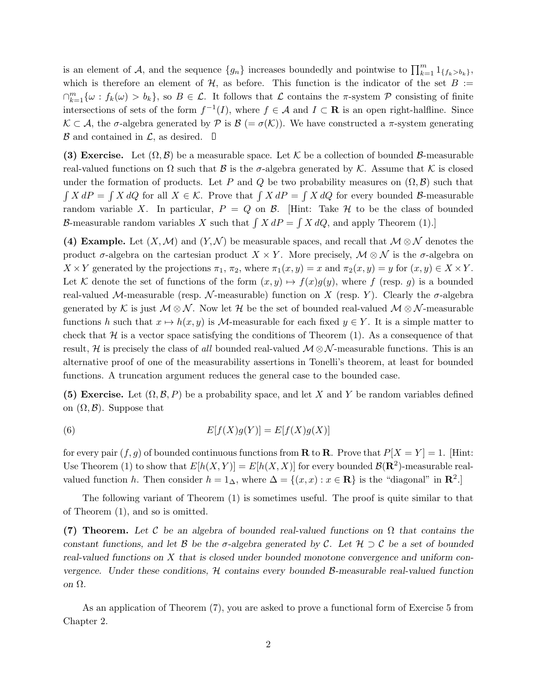is an element of A, and the sequence  $\{g_n\}$  increases boundedly and pointwise to  $\prod_{k=1}^m 1_{\{f_k > b_k\}}$ , which is therefore an element of  $H$ , as before. This function is the indicator of the set  $B :=$  $\bigcap_{k=1}^m \{\omega : f_k(\omega) > b_k\},\$  so  $B \in \mathcal{L}$ . It follows that  $\mathcal L$  contains the  $\pi$ -system  $\mathcal P$  consisting of finite intersections of sets of the form  $f^{-1}(I)$ , where  $f \in \mathcal{A}$  and  $I \subset \mathbf{R}$  is an open right-halfline. Since  $\mathcal{K} \subset \mathcal{A}$ , the  $\sigma$ -algebra generated by  $\mathcal{P}$  is  $\mathcal{B} \left(=\sigma(\mathcal{K})\right)$ . We have constructed a  $\pi$ -system generating  $\mathcal B$  and contained in  $\mathcal L$ , as desired.  $\Box$ 

(3) Exercise. Let  $(\Omega, \mathcal{B})$  be a measurable space. Let K be a collection of bounded B-measurable real-valued functions on  $\Omega$  such that  $\beta$  is the  $\sigma$ -algebra generated by K. Assume that K is closed under the formation of products. Let P and Q be two probability measures on  $(\Omega, \mathcal{B})$  such that  $\int X dP = \int X dQ$  for all  $X \in \mathcal{K}$ . Prove that  $\int X dP = \int X dQ$  for every bounded B-measurable random variable X. In particular,  $P = Q$  on  $\beta$ . [Hint: Take  $\mathcal H$  to be the class of bounded B-measurable random variables X such that  $\int X dP = \int X dQ$ , and apply Theorem (1).

(4) Example. Let  $(X, \mathcal{M})$  and  $(Y, \mathcal{N})$  be measurable spaces, and recall that  $\mathcal{M} \otimes \mathcal{N}$  denotes the product  $\sigma$ -algebra on the cartesian product  $X \times Y$ . More precisely,  $\mathcal{M} \otimes \mathcal{N}$  is the  $\sigma$ -algebra on  $X \times Y$  generated by the projections  $\pi_1, \pi_2$ , where  $\pi_1(x, y) = x$  and  $\pi_2(x, y) = y$  for  $(x, y) \in X \times Y$ . Let K denote the set of functions of the form  $(x, y) \mapsto f(x)g(y)$ , where f (resp. g) is a bounded real-valued M-measurable (resp. N-measurable) function on X (resp. Y). Clearly the  $\sigma$ -algebra generated by K is just  $M \otimes N$ . Now let H be the set of bounded real-valued  $M \otimes N$ -measurable functions h such that  $x \mapsto h(x, y)$  is M-measurable for each fixed  $y \in Y$ . It is a simple matter to check that  $H$  is a vector space satisfying the conditions of Theorem  $(1)$ . As a consequence of that result, H is precisely the class of all bounded real-valued  $\mathcal{M} \otimes \mathcal{N}$ -measurable functions. This is an alternative proof of one of the measurability assertions in Tonelli's theorem, at least for bounded functions. A truncation argument reduces the general case to the bounded case.

(5) Exercise. Let  $(\Omega, \mathcal{B}, P)$  be a probability space, and let X and Y be random variables defined on  $(\Omega, \mathcal{B})$ . Suppose that

(6) 
$$
E[f(X)g(Y)] = E[f(X)g(X)]
$$

for every pair  $(f, g)$  of bounded continuous functions from **R** to **R**. Prove that  $P[X = Y] = 1$ . [Hint: Use Theorem (1) to show that  $E[h(X, Y)] = E[h(X, X)]$  for every bounded  $\mathcal{B}(\mathbf{R}^2)$ -measurable realvalued function h. Then consider  $h = 1_{\Delta}$ , where  $\Delta = \{(x, x) : x \in \mathbb{R}\}\$ is the "diagonal" in  $\mathbb{R}^2$ .

The following variant of Theorem (1) is sometimes useful. The proof is quite similar to that of Theorem (1), and so is omitted.

(7) Theorem. Let C be an algebra of bounded real-valued functions on  $\Omega$  that contains the constant functions, and let B be the  $\sigma$ -algebra generated by C. Let  $\mathcal{H} \supset \mathcal{C}$  be a set of bounded real-valued functions on X that is closed under bounded monotone convergence and uniform convergence. Under these conditions,  $H$  contains every bounded  $B$ -measurable real-valued function on Ω.

As an application of Theorem (7), you are asked to prove a functional form of Exercise 5 from Chapter 2.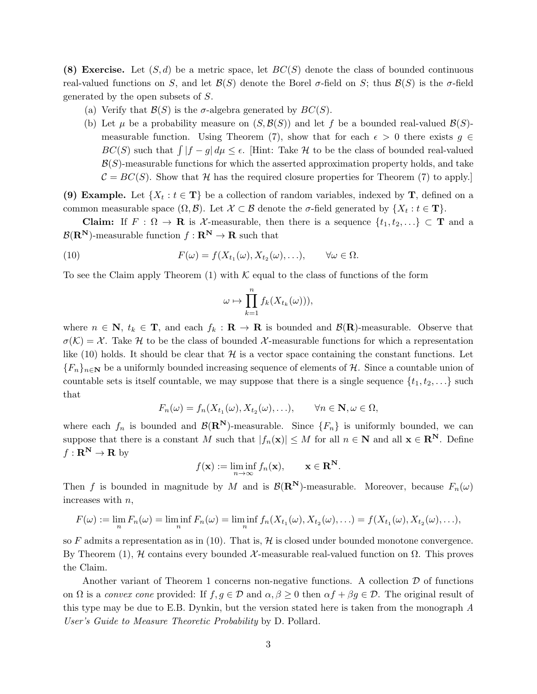(8) Exercise. Let  $(S, d)$  be a metric space, let  $BC(S)$  denote the class of bounded continuous real-valued functions on S, and let  $\mathcal{B}(S)$  denote the Borel  $\sigma$ -field on S; thus  $\mathcal{B}(S)$  is the  $\sigma$ -field generated by the open subsets of S.

- (a) Verify that  $\mathcal{B}(S)$  is the  $\sigma$ -algebra generated by  $BC(S)$ .
- (b) Let  $\mu$  be a probability measure on  $(S, \mathcal{B}(S))$  and let f be a bounded real-valued  $\mathcal{B}(S)$ measurable function. Using Theorem (7), show that for each  $\epsilon > 0$  there exists  $g \in$  $BC(S)$  such that  $\int |f - g| d\mu \leq \epsilon$ . [Hint: Take H to be the class of bounded real-valued  $\mathcal{B}(S)$ -measurable functions for which the asserted approximation property holds, and take  $C = BC(S)$ . Show that H has the required closure properties for Theorem (7) to apply.

(9) Example. Let  $\{X_t : t \in \mathbf{T}\}\$  be a collection of random variables, indexed by T, defined on a common measurable space  $(\Omega, \mathcal{B})$ . Let  $\mathcal{X} \subset \mathcal{B}$  denote the  $\sigma$ -field generated by  $\{X_t : t \in \mathbf{T}\}.$ 

Claim: If  $F : \Omega \to \mathbf{R}$  is X-measurable, then there is a sequence  $\{t_1, t_2, ...\} \subset \mathbf{T}$  and a  $\mathcal{B}(\mathbf{R}^{\mathbf{N}})$ -measurable function  $f: \mathbf{R}^{\mathbf{N}} \to \mathbf{R}$  such that

(10) 
$$
F(\omega) = f(X_{t_1}(\omega), X_{t_2}(\omega), \ldots), \qquad \forall \omega \in \Omega.
$$

To see the Claim apply Theorem  $(1)$  with K equal to the class of functions of the form

$$
\omega \mapsto \prod_{k=1}^n f_k(X_{t_k}(\omega))),
$$

where  $n \in \mathbb{N}$ ,  $t_k \in \mathbb{T}$ , and each  $f_k : \mathbb{R} \to \mathbb{R}$  is bounded and  $\mathcal{B}(\mathbb{R})$ -measurable. Observe that  $\sigma(\mathcal{K}) = \mathcal{X}$ . Take H to be the class of bounded X-measurable functions for which a representation like (10) holds. It should be clear that  $\mathcal H$  is a vector space containing the constant functions. Let  ${F_n}_{n\in\mathbb{N}}$  be a uniformly bounded increasing sequence of elements of H. Since a countable union of countable sets is itself countable, we may suppose that there is a single sequence  $\{t_1, t_2, \ldots\}$  such that

$$
F_n(\omega) = f_n(X_{t_1}(\omega), X_{t_2}(\omega), \ldots), \qquad \forall n \in \mathbf{N}, \omega \in \Omega,
$$

where each  $f_n$  is bounded and  $\mathcal{B}(\mathbb{R}^N)$ -measurable. Since  $\{F_n\}$  is uniformly bounded, we can suppose that there is a constant M such that  $|f_n(\mathbf{x})| \leq M$  for all  $n \in \mathbb{N}$  and all  $\mathbf{x} \in \mathbb{R}^N$ . Define  $f: \mathbf{R}^{\mathbf{N}} \to \mathbf{R}$  by

$$
f(\mathbf{x}) := \liminf_{n \to \infty} f_n(\mathbf{x}), \qquad \mathbf{x} \in \mathbf{R}^{\mathbf{N}}.
$$

Then f is bounded in magnitude by M and is  $\mathcal{B}(\mathbb{R}^N)$ -measurable. Moreover, because  $F_n(\omega)$ increases with  $n$ ,

$$
F(\omega) := \lim_n F_n(\omega) = \liminf_n F_n(\omega) = \liminf_n f_n(X_{t_1}(\omega), X_{t_2}(\omega), \ldots) = f(X_{t_1}(\omega), X_{t_2}(\omega), \ldots),
$$

so F admits a representation as in (10). That is,  $\mathcal H$  is closed under bounded monotone convergence. By Theorem (1), *H* contains every bounded *X*-measurable real-valued function on  $Ω$ . This proves the Claim.

Another variant of Theorem 1 concerns non-negative functions. A collection  $\mathcal D$  of functions on  $\Omega$  is a convex cone provided: If  $f, g \in \mathcal{D}$  and  $\alpha, \beta \geq 0$  then  $\alpha f + \beta g \in \mathcal{D}$ . The original result of this type may be due to E.B. Dynkin, but the version stated here is taken from the monograph A User's Guide to Measure Theoretic Probability by D. Pollard.